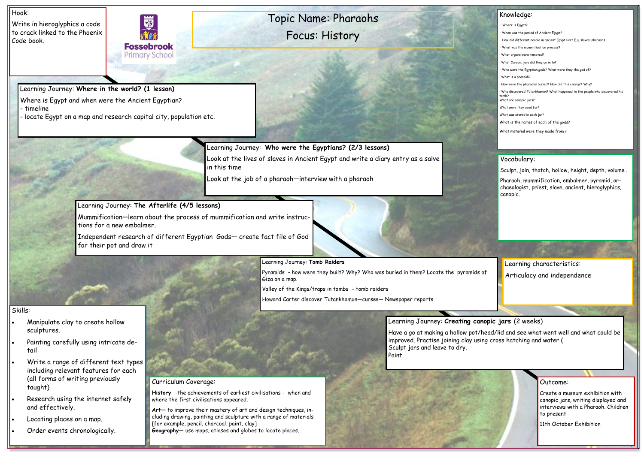# Topic Name: Pharaohs Focus: History

### Hook:

Write in hieroglyphics a code to crack linked to the Phoenix Code book.



### Outcome:

Create a museum exhibition with canopic jars, writing displayed and interviews with a Pharaoh. Children to present

11th October Exhibition

| Knowledge: |
|------------|
|            |

- Where is Egypt?
- · When was the period of Ancient Egypt?
- · How did different people in ancient Egypt live? E.g. slaves, pharaohs
- · What was the mummification process?
- What organs were removed?
- What Canopic jars did they go in to?
- Who were the Egyptian gods? What were they the god of?
- · What is a pharaoh?
- · How were the pharaohs buried? How did this change? Why?
- · Who discovered Tutankhamun? What happened to the people who discovered his omb<sub>2</sub>

What are canopic jars?

What were they used for?

What was stored in each jar?

What is the names of each of the gods?

What material were they made from ?

### Skills:

- Manipulate clay to create hollow sculptures.
- Painting carefully using intricate detail
- Write a range of different text types including relevant features for each (all forms of writing previously taught)
- Research using the internet safely and effectively.
- Locating places on a map.
- Order events chronologically.

Learning Journey: **Where in the world? (1 lesson)** 

Where is Egypt and when were the Ancient Egyptian?

- timeline

- locate Egypt on a map and research capital city, population etc.

Learning Journey: **Who were the Egyptians? (2/3 lessons)**

Look at the lives of slaves in Ancient Egypt and write a diary entry as a salve in this time

Look at the job of a pharaoh—interview with a pharaoh

### Learning Journey: **The Afterlife (4/5 lessons)**

Mummification—learn about the process of mummification and write instructions for a new embalmer.

Independent research of different Egyptian Gods— create fact file of God for their pot and draw it



Pyramids - how were they built? Why? Who was buried in them? Locate the pyramids of Giza on a map.

Valley of the Kings/traps in tombs - tomb raiders

Howard Carter discover Tutankhamun—curses— Newspaper reports

## Learning Journey: **Creating canopic jars** (2 weeks)

Have a go at making a hollow pot/head/lid and see what went well and what could be

improved. Practise joining clay using cross hatching and water ( Sculpt jars and leave to dry. Paint.

## Curriculum Coverage:

**History** -the achievements of earliest civilisations - when and where the first civilisations appeared.

**Art**— to improve their mastery of art and design techniques, including drawing, painting and sculpture with a range of materials [for example, pencil, charcoal, paint, clay] **Geography**— use maps, atlases and globes to locate places.

#### Vocabulary:

Sculpt, join, thatch, hollow, height, depth, volume .

Pharaoh, mummification, embalmer, pyramid, archaeologist, priest, slave, ancient, hieroglyphics, canopic.

Learning characteristics: Articulacy and independence